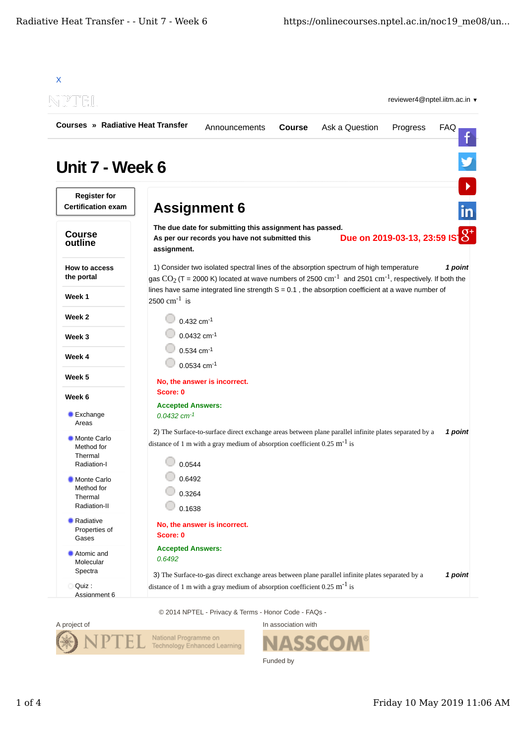

© 2014 NPTEL - Privacy & Terms - Honor Code - FAQs -



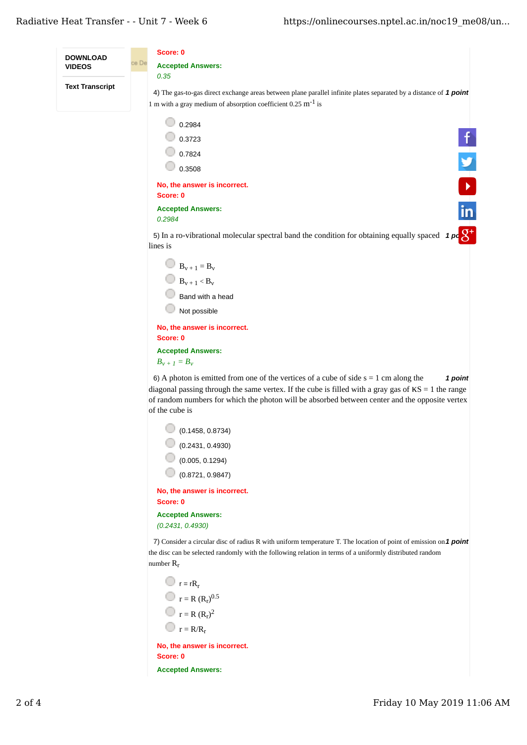

**Accepted Answers:**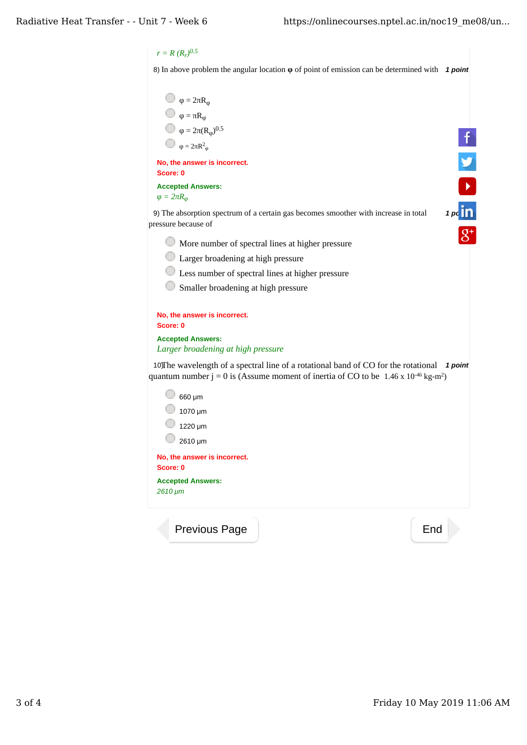## $r = R (R_r)^{0.5}$

u

8) In above problem the angular location **φ** of point of emission can be determined with **1 point** 

$$
Q = 2\pi R_{\varphi}
$$
\n
$$
Q = 2\pi R_{\varphi}
$$
\n
$$
Q = \pi R_{\varphi}
$$
\n
$$
Q = 2\pi (R_{\varphi})^{0.5}
$$
\n
$$
Q = 2\pi R_{\varphi}
$$
\nNo, the answer is incorrect.

\nScore: 0

\nAccept Answers:

\n
$$
Q = 2\pi R_{\varphi}
$$
\n9) The absorption spectrum of a certain gas becomes smoother with increase in total pressure because of

\nMore number of spectral lines at higher pressure

\nU-Larger broadening at high pressure

\nU-Lager broadening at high pressure

\nSo

\nSo

\nSo

\nSo

\nAs

\nNo, the answer is incorrect.

\nScore: 0

\nAccept Answers:

\nLarge broadening at high pressure

\n10) The wavelength of a spectral line of a rotational band of CO for the rotational 1 point quantum number j = 0 is (Assume moment of inertia of CO to be 1.46 x 10<sup>-46</sup> kg<sup>-</sup>m<sup>2</sup>)

\n660 μm

\n1070 μm

\n1220 μm

\n2610 μm

\n2610 μm

\nNo, the answer is incorrect.

\nScore: 0

\nAccepted Answers:

\n2610 μm

\nNo

\nNeasures: 2610 μm

\nPreviously Page

\nEnd